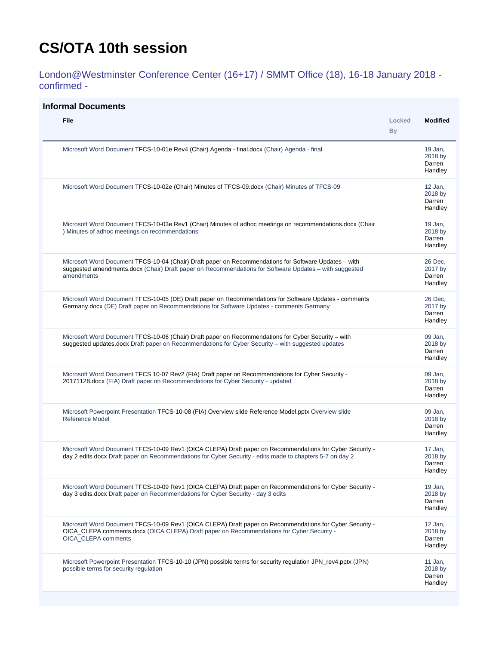## <span id="page-0-0"></span>**CS/OTA 10th session**

London@Westminster Conference Center (16+17) / SMMT Office (18), 16-18 January 2018 confirmed -

## **Informal Documents**

| <b>File</b>                                                                                                                                                                                                                   | Locked<br><b>By</b> | <b>Modified</b>                         |
|-------------------------------------------------------------------------------------------------------------------------------------------------------------------------------------------------------------------------------|---------------------|-----------------------------------------|
| Microsoft Word Document TFCS-10-01e Rev4 (Chair) Agenda - final.docx (Chair) Agenda - final                                                                                                                                   |                     | 19 Jan,<br>2018 by<br>Darren<br>Handley |
| Microsoft Word Document TFCS-10-02e (Chair) Minutes of TFCS-09.docx (Chair) Minutes of TFCS-09                                                                                                                                |                     | 12 Jan,<br>2018 by<br>Darren<br>Handley |
| Microsoft Word Document TFCS-10-03e Rev1 (Chair) Minutes of adhoc meetings on recommendations.docx (Chair<br>) Minutes of adhoc meetings on recommendations                                                                   |                     | 19 Jan,<br>2018 by<br>Darren<br>Handley |
| Microsoft Word Document TFCS-10-04 (Chair) Draft paper on Recommendations for Software Updates – with<br>suggested amendments.docx (Chair) Draft paper on Recommendations for Software Updates - with suggested<br>amendments |                     | 26 Dec.<br>2017 by<br>Darren<br>Handley |
| Microsoft Word Document TFCS-10-05 (DE) Draft paper on Recommendations for Software Updates - comments<br>Germany.docx (DE) Draft paper on Recommendations for Software Updates - comments Germany                            |                     | 26 Dec.<br>2017 by<br>Darren<br>Handley |
| Microsoft Word Document TFCS-10-06 (Chair) Draft paper on Recommendations for Cyber Security – with<br>suggested updates.docx Draft paper on Recommendations for Cyber Security - with suggested updates                      |                     | 09 Jan,<br>2018 by<br>Darren<br>Handley |
| Microsoft Word Document TFCS 10-07 Rev2 (FIA) Draft paper on Recommendations for Cyber Security -<br>20171128.docx (FIA) Draft paper on Recommendations for Cyber Security - updated                                          |                     | 09 Jan,<br>2018 by<br>Darren<br>Handley |
| Microsoft Powerpoint Presentation TFCS-10-08 (FIA) Overview slide Reference Model.pptx Overview slide<br><b>Reference Model</b>                                                                                               |                     | 09 Jan,<br>2018 by<br>Darren<br>Handley |
| Microsoft Word Document TFCS-10-09 Rev1 (OICA CLEPA) Draft paper on Recommendations for Cyber Security -<br>day 2 edits docx Draft paper on Recommendations for Cyber Security - edits made to chapters 5-7 on day 2          |                     | 17 Jan.<br>2018 by<br>Darren<br>Handley |
| Microsoft Word Document TFCS-10-09 Rev1 (OICA CLEPA) Draft paper on Recommendations for Cyber Security -<br>day 3 edits docx Draft paper on Recommendations for Cyber Security - day 3 edits                                  |                     | 19 Jan,<br>2018 by<br>Darren<br>Handley |
| Microsoft Word Document TFCS-10-09 Rev1 (OICA CLEPA) Draft paper on Recommendations for Cyber Security -<br>OICA_CLEPA comments.docx (OICA CLEPA) Draft paper on Recommendations for Cyber Security -<br>OICA CLEPA comments  |                     | 12 Jan,<br>2018 by<br>Darren<br>Handley |
| Microsoft Powerpoint Presentation TFCS-10-10 (JPN) possible terms for security regulation JPN_rev4.pptx (JPN)<br>possible terms for security regulation                                                                       |                     | 11 Jan,<br>2018 by<br>Darren<br>Handley |